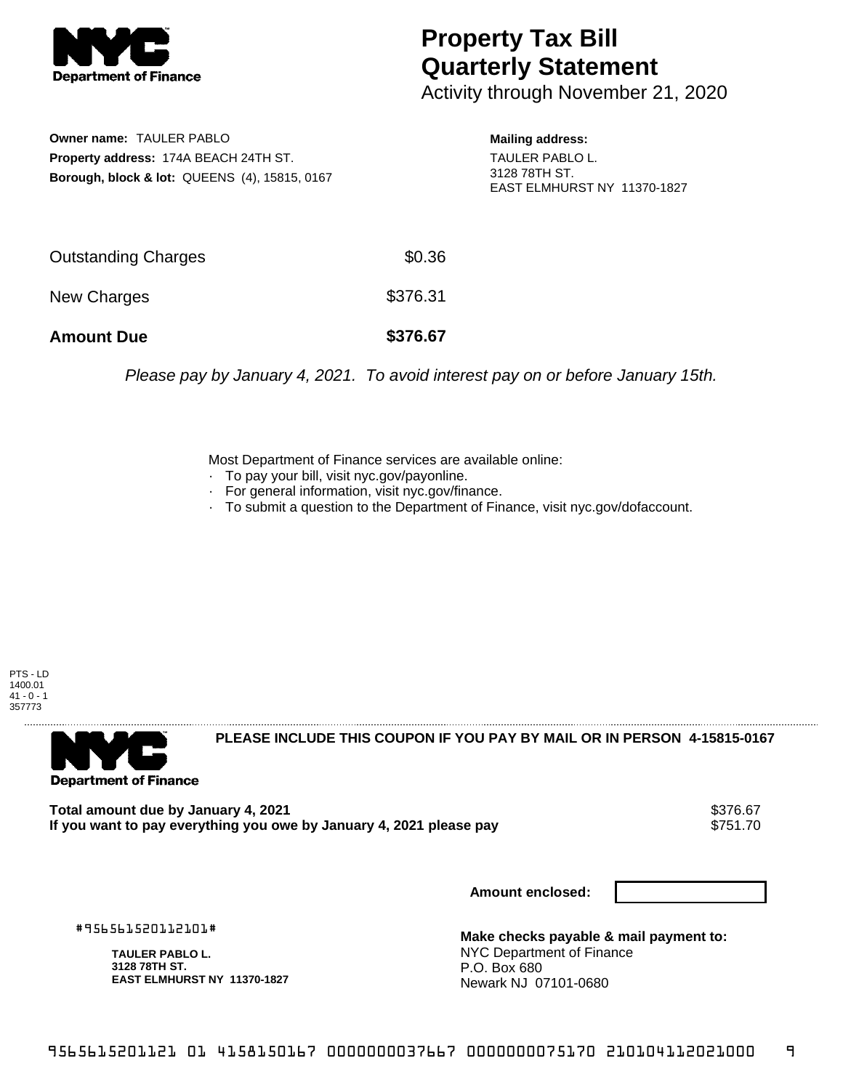

## **Property Tax Bill Quarterly Statement**

Activity through November 21, 2020

**Owner name:** TAULER PABLO **Property address:** 174A BEACH 24TH ST. **Borough, block & lot:** QUEENS (4), 15815, 0167 **Mailing address:** TAULER PABLO L. 3128 78TH ST. EAST ELMHURST NY 11370-1827

| <b>Amount Due</b>   | \$376.67 |
|---------------------|----------|
| New Charges         | \$376.31 |
| Outstanding Charges | \$0.36   |

Please pay by January 4, 2021. To avoid interest pay on or before January 15th.

Most Department of Finance services are available online:

- · To pay your bill, visit nyc.gov/payonline.
- For general information, visit nyc.gov/finance.
- · To submit a question to the Department of Finance, visit nyc.gov/dofaccount.



**Department of Finance** 

**PLEASE INCLUDE THIS COUPON IF YOU PAY BY MAIL OR IN PERSON 4-15815-0167** 

**Total amount due by January 4, 2021<br>If you want to pay everything you owe by January 4, 2021 please pay <b>show that the same of the system** \$751.70 If you want to pay everything you owe by January 4, 2021 please pay

**Amount enclosed:**

#956561520112101#

**TAULER PABLO L. 3128 78TH ST. EAST ELMHURST NY 11370-1827**

**Make checks payable & mail payment to:** NYC Department of Finance P.O. Box 680 Newark NJ 07101-0680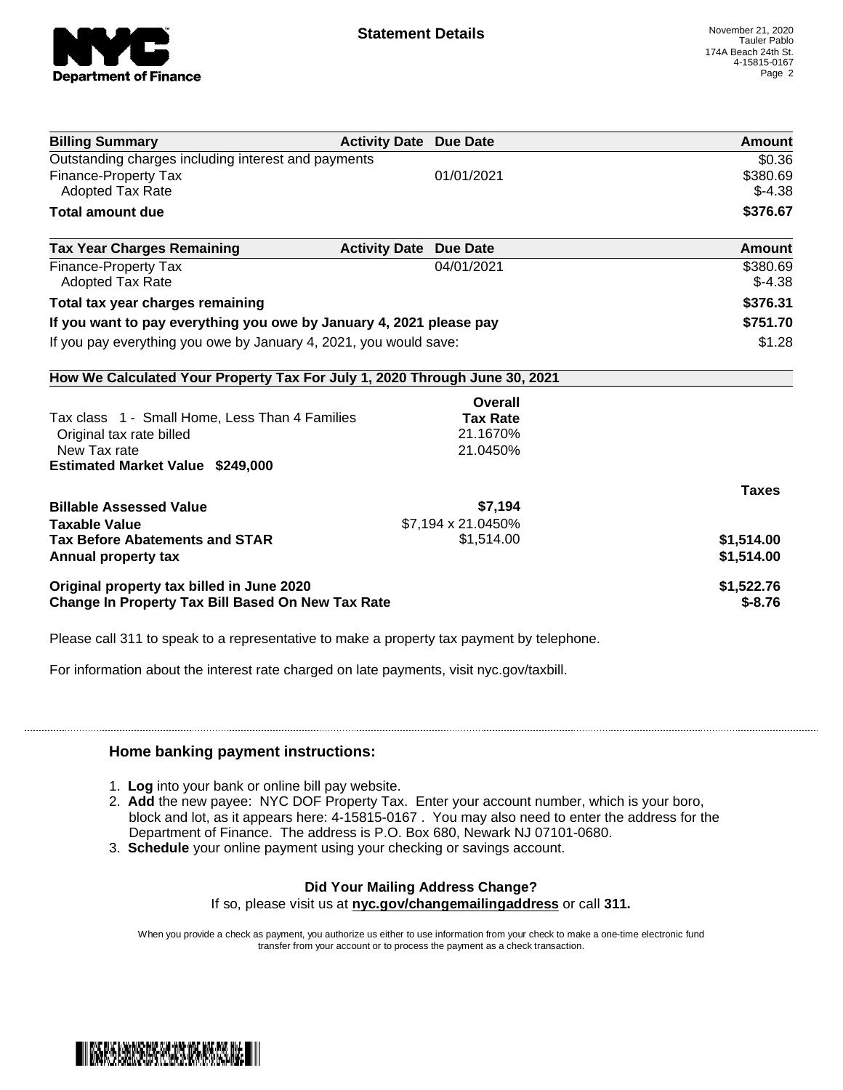

| <b>Billing Summary</b>                                                     | <b>Activity Date Due Date</b>           | Amount       |
|----------------------------------------------------------------------------|-----------------------------------------|--------------|
| Outstanding charges including interest and payments                        |                                         | \$0.36       |
| <b>Finance-Property Tax</b>                                                | 01/01/2021                              | \$380.69     |
| <b>Adopted Tax Rate</b>                                                    |                                         | $$-4.38$     |
| <b>Total amount due</b>                                                    |                                         | \$376.67     |
| <b>Tax Year Charges Remaining</b>                                          | <b>Activity Date</b><br><b>Due Date</b> | Amount       |
| Finance-Property Tax                                                       | 04/01/2021                              | \$380.69     |
| <b>Adopted Tax Rate</b>                                                    |                                         | $$-4.38$     |
| Total tax year charges remaining                                           |                                         | \$376.31     |
| If you want to pay everything you owe by January 4, 2021 please pay        |                                         | \$751.70     |
| If you pay everything you owe by January 4, 2021, you would save:          |                                         | \$1.28       |
| How We Calculated Your Property Tax For July 1, 2020 Through June 30, 2021 |                                         |              |
|                                                                            | <b>Overall</b>                          |              |
| Tax class 1 - Small Home, Less Than 4 Families                             | <b>Tax Rate</b>                         |              |
| Original tax rate billed                                                   | 21.1670%                                |              |
| New Tax rate                                                               | 21.0450%                                |              |
| <b>Estimated Market Value \$249,000</b>                                    |                                         |              |
|                                                                            |                                         | <b>Taxes</b> |
| <b>Billable Assessed Value</b>                                             | \$7,194                                 |              |
| <b>Taxable Value</b>                                                       | \$7,194 x 21.0450%                      |              |
| <b>Tax Before Abatements and STAR</b>                                      | \$1,514.00                              | \$1,514.00   |
| Annual property tax                                                        |                                         | \$1,514.00   |
| Original property tax billed in June 2020                                  |                                         | \$1,522.76   |
| <b>Change In Property Tax Bill Based On New Tax Rate</b>                   |                                         | $$-8.76$     |

Please call 311 to speak to a representative to make a property tax payment by telephone.

For information about the interest rate charged on late payments, visit nyc.gov/taxbill.

## **Home banking payment instructions:**

- 1. **Log** into your bank or online bill pay website.
- 2. **Add** the new payee: NYC DOF Property Tax. Enter your account number, which is your boro, block and lot, as it appears here: 4-15815-0167 . You may also need to enter the address for the Department of Finance. The address is P.O. Box 680, Newark NJ 07101-0680.
- 3. **Schedule** your online payment using your checking or savings account.

## **Did Your Mailing Address Change?**

If so, please visit us at **nyc.gov/changemailingaddress** or call **311.**

When you provide a check as payment, you authorize us either to use information from your check to make a one-time electronic fund transfer from your account or to process the payment as a check transaction.